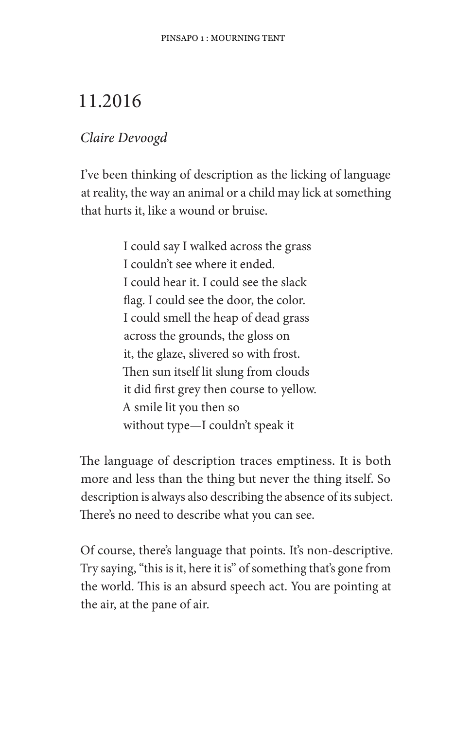## 11.2016

## Claire Devoogd

I've been thinking of description as the licking of language at reality, the way an animal or a child may lick at something that hurts it, like a wound or bruise.

> I could say I walked across the grass I couldn't see where it ended. I could hear it. I could see the slack flag. I could see the door, the color. I could smell the heap of dead grass across the grounds, the gloss on it, the glaze, slivered so with frost. Then sun itself lit slung from clouds it did first grey then course to yellow. A smile lit you then so without type—I couldn't speak it

The language of description traces emptiness. It is both more and less than the thing but never the thing itself. So description is always also describing the absence of its subject. There's no need to describe what you can see.

Of course, there's language that points. It's non-descriptive. Try saying, "this is it, here it is" of something that's gone from the world. This is an absurd speech act. You are pointing at the air, at the pane of air.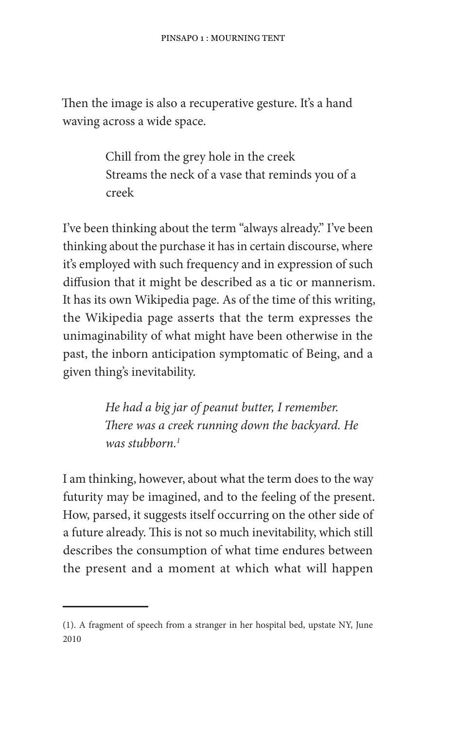Then the image is also a recuperative gesture. It's a hand waving across a wide space.

> Chill from the grey hole in the creek Streams the neck of a vase that reminds you of a creek

I've been thinking about the term "always already." I've been thinking about the purchase it has in certain discourse, where it's employed with such frequency and in expression of such diffusion that it might be described as a tic or mannerism. It has its own Wikipedia page. As of the time of this writing, the Wikipedia page asserts that the term expresses the unimaginability of what might have been otherwise in the past, the inborn anticipation symptomatic of Being, and a given thing's inevitability.

> He had a big jar of peanut butter, I remember. There was a creek running down the backyard. He was stubborn.<sup>1</sup>

I am thinking, however, about what the term does to the way futurity may be imagined, and to the feeling of the present. How, parsed, it suggests itself occurring on the other side of a future already. This is not so much inevitability, which still describes the consumption of what time endures between the present and a moment at which what will happen

<sup>(1).</sup> A fragment of speech from a stranger in her hospital bed, upstate NY, June 2010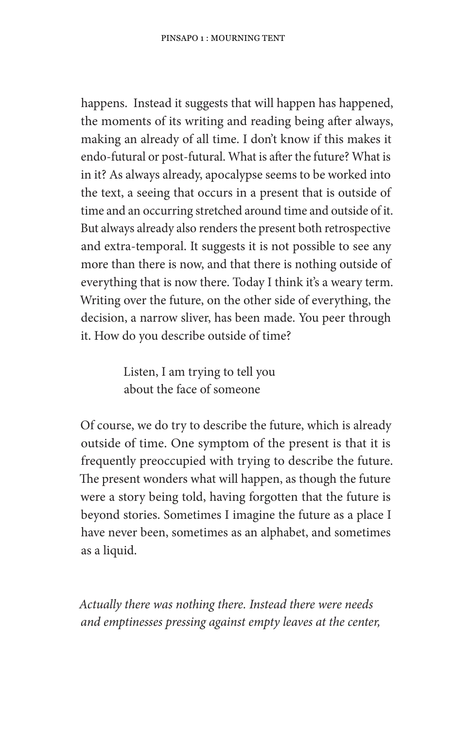happens. Instead it suggests that will happen has happened, the moments of its writing and reading being after always, making an already of all time. I don't know if this makes it endo-futural or post-futural. What is after the future? What is in it? As always already, apocalypse seems to be worked into the text, a seeing that occurs in a present that is outside of time and an occurring stretched around time and outside of it. But always already also renders the present both retrospective and extra-temporal. It suggests it is not possible to see any more than there is now, and that there is nothing outside of everything that is now there. Today I think it's a weary term. Writing over the future, on the other side of everything, the decision, a narrow sliver, has been made. You peer through it. How do you describe outside of time?

> Listen, I am trying to tell you about the face of someone

Of course, we do try to describe the future, which is already outside of time. One symptom of the present is that it is frequently preoccupied with trying to describe the future. The present wonders what will happen, as though the future were a story being told, having forgotten that the future is beyond stories. Sometimes I imagine the future as a place I have never been, sometimes as an alphabet, and sometimes as a liquid.

Actually there was nothing there. Instead there were needs and emptinesses pressing against empty leaves at the center,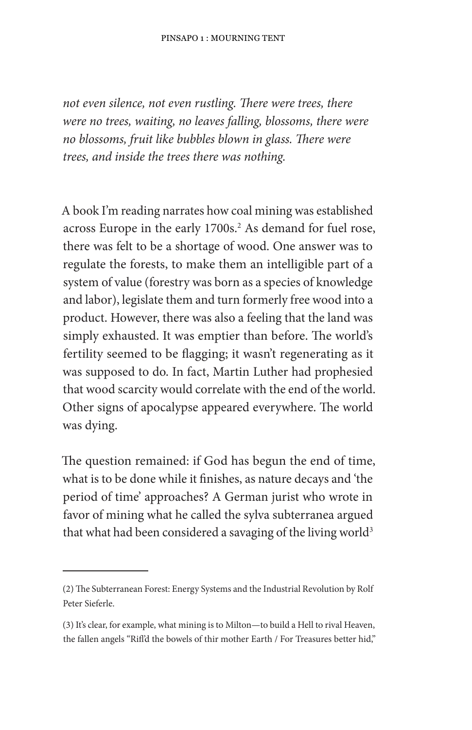not even silence, not even rustling. There were trees, there were no trees, waiting, no leaves falling, blossoms, there were no blossoms, fruit like bubbles blown in glass. There were trees, and inside the trees there was nothing.

A book I'm reading narrates how coal mining was established across Europe in the early 1700s.<sup>2</sup> As demand for fuel rose, there was felt to be a shortage of wood. One answer was to regulate the forests, to make them an intelligible part of a system of value (forestry was born as a species of knowledge and labor), legislate them and turn formerly free wood into a product. However, there was also a feeling that the land was simply exhausted. It was emptier than before. The world's fertility seemed to be flagging; it wasn't regenerating as it was supposed to do. In fact, Martin Luther had prophesied that wood scarcity would correlate with the end of the world. Other signs of apocalypse appeared everywhere. The world was dying.

The question remained: if God has begun the end of time, what is to be done while it finishes, as nature decays and 'the period of time' approaches? A German jurist who wrote in favor of mining what he called the sylva subterranea argued that what had been considered a savaging of the living world<sup>3</sup>

<sup>(2)</sup> The Subterranean Forest: Energy Systems and the Industrial Revolution by Rolf Peter Sieferle.

<sup>(3)</sup> It's clear, for example, what mining is to Milton-to build a Hell to rival Heaven, the fallen angels "Rifl'd the bowels of thir mother Earth / For Treasures better hid,"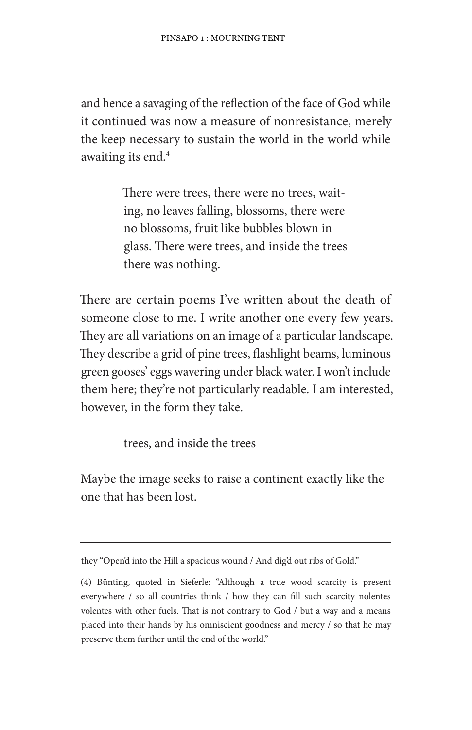and hence a savaging of the reflection of the face of God while it continued was now a measure of nonresistance, merely the keep necessary to sustain the world in the world while awaiting its end.<sup>4</sup>

> There were trees, there were no trees, waiting, no leaves falling, blossoms, there were no blossoms, fruit like bubbles blown in glass. There were trees, and inside the trees there was nothing.

There are certain poems I've written about the death of someone close to me. I write another one every few years. They are all variations on an image of a particular landscape. They describe a grid of pine trees, flashlight beams, luminous green gooses' eggs wavering under black water. I won't include them here; they're not particularly readable. I am interested, however, in the form they take.

trees, and inside the trees

Maybe the image seeks to raise a continent exactly like the one that has been lost.

they "Open'd into the Hill a spacious wound / And dig'd out ribs of Gold."

<sup>(4)</sup> Bünting, quoted in Sieferle: "Although a true wood scarcity is present everywhere / so all countries think / how they can fill such scarcity nolentes volentes with other fuels. That is not contrary to God / but a way and a means placed into their hands by his omniscient goodness and mercy / so that he may preserve them further until the end of the world."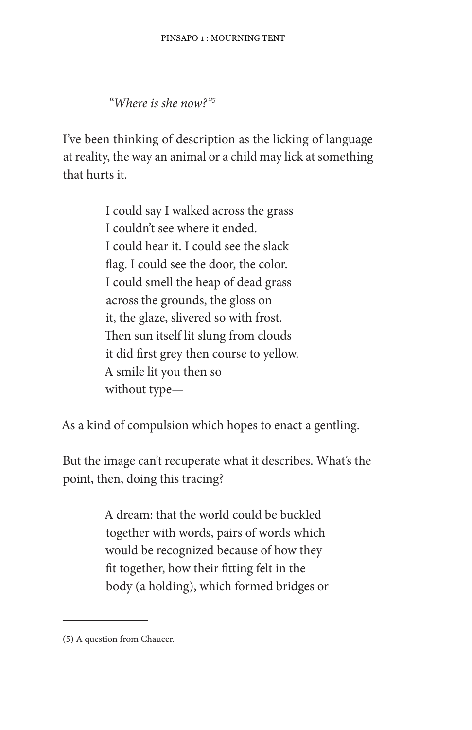"Where is she now?"

I've been thinking of description as the licking of language at reality, the way an animal or a child may lick at something that hurts it.

> I could say I walked across the grass I couldn't see where it ended. I could hear it. I could see the slack flag. I could see the door, the color. I could smell the heap of dead grass across the grounds, the gloss on it, the glaze, slivered so with frost. Then sun itself lit slung from clouds it did first grey then course to yellow. A smile lit you then so without type-

As a kind of compulsion which hopes to enact a gentling.

But the image can't recuperate what it describes. What's the point, then, doing this tracing?

> A dream: that the world could be buckled together with words, pairs of words which would be recognized because of how they fit together, how their fitting felt in the body (a holding), which formed bridges or

<sup>(5)</sup> A question from Chaucer.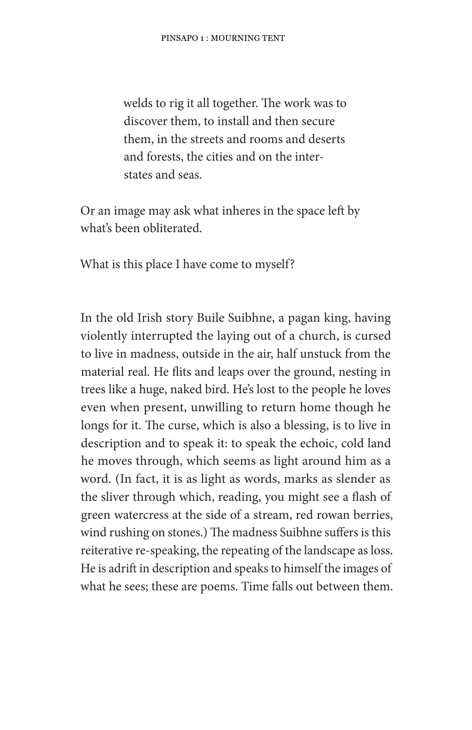welds to rig it all together. The work was to discover them, to install and then secure them, in the streets and rooms and deserts and forests, the cities and on the interstates and seas.

Or an image may ask what inheres in the space left by what's been obliterated.

What is this place I have come to myself?

In the old Irish story Buile Suibhne, a pagan king, having violently interrupted the laying out of a church, is cursed to live in madness, outside in the air, half unstuck from the material real. He flits and leaps over the ground, nesting in trees like a huge, naked bird. He's lost to the people he loves even when present, unwilling to return home though he longs for it. The curse, which is also a blessing, is to live in description and to speak it: to speak the echoic, cold land he moves through, which seems as light around him as a word. (In fact, it is as light as words, marks as slender as the sliver through which, reading, you might see a flash of green watercress at the side of a stream, red rowan berries, wind rushing on stones.) The madness Suibhne suffers is this reiterative re-speaking, the repeating of the landscape as loss. He is adrift in description and speaks to himself the images of what he sees; these are poems. Time falls out between them.